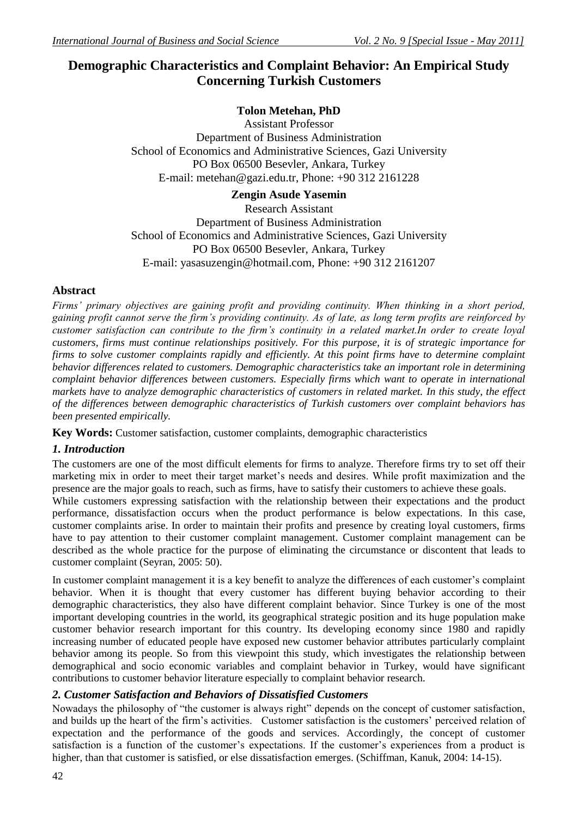# **Demographic Characteristics and Complaint Behavior: An Empirical Study Concerning Turkish Customers**

## **Tolon Metehan, PhD**

Assistant Professor Department of Business Administration School of Economics and Administrative Sciences, Gazi University PO Box 06500 Besevler, Ankara, Turkey E-mail: metehan@gazi.edu.tr, Phone: +90 312 2161228

## **Zengin Asude Yasemin**

Research Assistant Department of Business Administration School of Economics and Administrative Sciences, Gazi University PO Box 06500 Besevler, Ankara, Turkey E-mail: yasasuzengin@hotmail.com, Phone: +90 312 2161207

## **Abstract**

*Firms' primary objectives are gaining profit and providing continuity. When thinking in a short period, gaining profit cannot serve the firm's providing continuity. As of late, as long term profits are reinforced by customer satisfaction can contribute to the firm's continuity in a related market.In order to create loyal customers, firms must continue relationships positively. For this purpose, it is of strategic importance for firms to solve customer complaints rapidly and efficiently. At this point firms have to determine complaint behavior differences related to customers. Demographic characteristics take an important role in determining complaint behavior differences between customers. Especially firms which want to operate in international markets have to analyze demographic characteristics of customers in related market. In this study, the effect of the differences between demographic characteristics of Turkish customers over complaint behaviors has been presented empirically.* 

**Key Words:** Customer satisfaction, customer complaints, demographic characteristics

## *1. Introduction*

The customers are one of the most difficult elements for firms to analyze. Therefore firms try to set off their marketing mix in order to meet their target market's needs and desires. While profit maximization and the presence are the major goals to reach, such as firms, have to satisfy their customers to achieve these goals.

While customers expressing satisfaction with the relationship between their expectations and the product performance, dissatisfaction occurs when the product performance is below expectations. In this case, customer complaints arise. In order to maintain their profits and presence by creating loyal customers, firms have to pay attention to their customer complaint management. Customer complaint management can be described as the whole practice for the purpose of eliminating the circumstance or discontent that leads to customer complaint (Seyran, 2005: 50).

In customer complaint management it is a key benefit to analyze the differences of each customer's complaint behavior. When it is thought that every customer has different buying behavior according to their demographic characteristics, they also have different complaint behavior. Since Turkey is one of the most important developing countries in the world, its geographical strategic position and its huge population make customer behavior research important for this country. Its developing economy since 1980 and rapidly increasing number of educated people have exposed new customer behavior attributes particularly complaint behavior among its people. So from this viewpoint this study, which investigates the relationship between demographical and socio economic variables and complaint behavior in Turkey, would have significant contributions to customer behavior literature especially to complaint behavior research.

## *2. Customer Satisfaction and Behaviors of Dissatisfied Customers*

Nowadays the philosophy of "the customer is always right" depends on the concept of customer satisfaction, and builds up the heart of the firm's activities. Customer satisfaction is the customers' perceived relation of expectation and the performance of the goods and services. Accordingly, the concept of customer satisfaction is a function of the customer's expectations. If the customer's experiences from a product is higher, than that customer is satisfied, or else dissatisfaction emerges. (Schiffman, Kanuk, 2004: 14-15).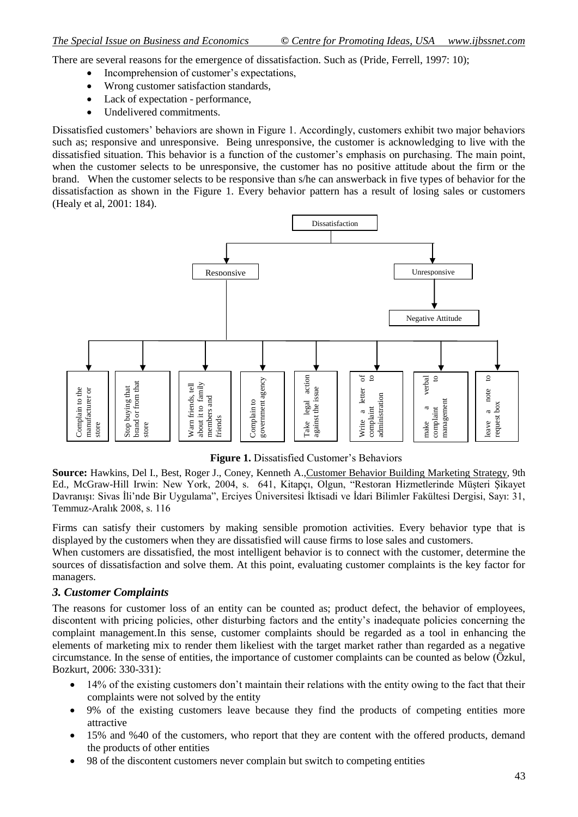There are several reasons for the emergence of dissatisfaction. Such as (Pride, Ferrell, 1997: 10);

- Incomprehension of customer's expectations,
- Wrong customer satisfaction standards,
- Lack of expectation performance,
- Undelivered commitments.

Dissatisfied customers' behaviors are shown in Figure 1. Accordingly, customers exhibit two major behaviors such as; responsive and unresponsive. Being unresponsive, the customer is acknowledging to live with the dissatisfied situation. This behavior is a function of the customer's emphasis on purchasing. The main point, when the customer selects to be unresponsive, the customer has no positive attitude about the firm or the brand. When the customer selects to be responsive than s/he can answerback in five types of behavior for the dissatisfaction as shown in the Figure 1. Every behavior pattern has a result of losing sales or customers (Healy et al, 2001: 184).



**Figure 1.** Dissatisfied Customer's Behaviors

**Source:** Hawkins, Del I., Best, Roger J., Coney, Kenneth A.,Customer Behavior Building Marketing Strategy, 9th Ed., McGraw-Hill Irwin: New York, 2004, s. 641, Kitapçı, Olgun, "Restoran Hizmetlerinde Müşteri Şikayet Davranışı: Sivas İli'nde Bir Uygulama", Erciyes Üniversitesi İktisadi ve İdari Bilimler Fakültesi Dergisi, Sayı: 31, Temmuz-Aralık 2008, s. 116

Firms can satisfy their customers by making sensible promotion activities. Every behavior type that is displayed by the customers when they are dissatisfied will cause firms to lose sales and customers.

When customers are dissatisfied, the most intelligent behavior is to connect with the customer, determine the sources of dissatisfaction and solve them. At this point, evaluating customer complaints is the key factor for managers.

#### *3. Customer Complaints*

The reasons for customer loss of an entity can be counted as; product defect, the behavior of employees, discontent with pricing policies, other disturbing factors and the entity's inadequate policies concerning the complaint management.In this sense, customer complaints should be regarded as a tool in enhancing the elements of marketing mix to render them likeliest with the target market rather than regarded as a negative circumstance. In the sense of entities, the importance of customer complaints can be counted as below (Özkul, Bozkurt, 2006: 330-331):

- 14% of the existing customers don't maintain their relations with the entity owing to the fact that their complaints were not solved by the entity
- 9% of the existing customers leave because they find the products of competing entities more attractive
- 15% and %40 of the customers, who report that they are content with the offered products, demand the products of other entities
- 98 of the discontent customers never complain but switch to competing entities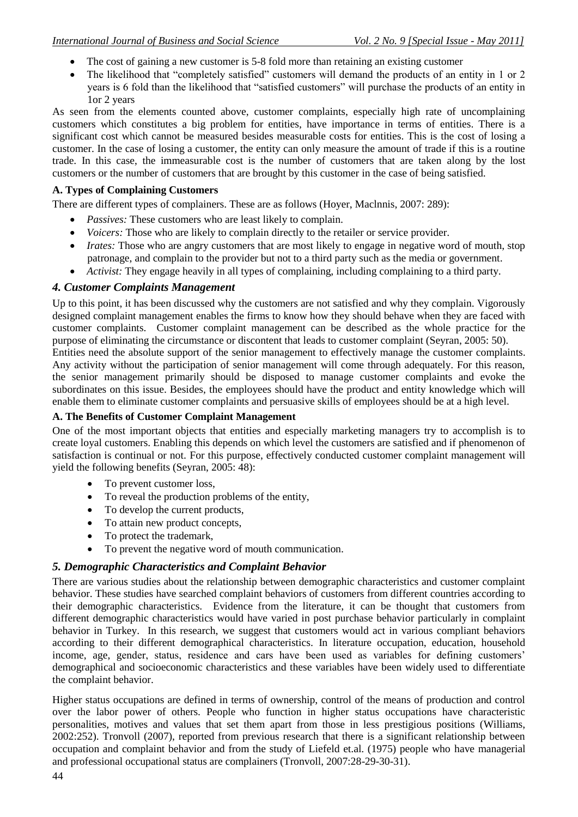- The cost of gaining a new customer is 5-8 fold more than retaining an existing customer
- The likelihood that "completely satisfied" customers will demand the products of an entity in 1 or 2 years is 6 fold than the likelihood that "satisfied customers" will purchase the products of an entity in 1or 2 years

As seen from the elements counted above, customer complaints, especially high rate of uncomplaining customers which constitutes a big problem for entities, have importance in terms of entities. There is a significant cost which cannot be measured besides measurable costs for entities. This is the cost of losing a customer. In the case of losing a customer, the entity can only measure the amount of trade if this is a routine trade. In this case, the immeasurable cost is the number of customers that are taken along by the lost customers or the number of customers that are brought by this customer in the case of being satisfied.

### **A. Types of Complaining Customers**

There are different types of complainers. These are as follows (Hoyer, Maclnnis, 2007: 289):

- *Passives:* These customers who are least likely to complain.
- *Voicers:* Those who are likely to complain directly to the retailer or service provider.
- *Irates:* Those who are angry customers that are most likely to engage in negative word of mouth, stop patronage, and complain to the provider but not to a third party such as the media or government.
- *Activist:* They engage heavily in all types of complaining, including complaining to a third party.

## *4. Customer Complaints Management*

Up to this point, it has been discussed why the customers are not satisfied and why they complain. Vigorously designed complaint management enables the firms to know how they should behave when they are faced with customer complaints. Customer complaint management can be described as the whole practice for the purpose of eliminating the circumstance or discontent that leads to customer complaint (Seyran, 2005: 50).

Entities need the absolute support of the senior management to effectively manage the customer complaints. Any activity without the participation of senior management will come through adequately. For this reason, the senior management primarily should be disposed to manage customer complaints and evoke the subordinates on this issue. Besides, the employees should have the product and entity knowledge which will enable them to eliminate customer complaints and persuasive skills of employees should be at a high level.

## **A. The Benefits of Customer Complaint Management**

One of the most important objects that entities and especially marketing managers try to accomplish is to create loyal customers. Enabling this depends on which level the customers are satisfied and if phenomenon of satisfaction is continual or not. For this purpose, effectively conducted customer complaint management will yield the following benefits (Seyran, 2005: 48):

- To prevent customer loss,
- To reveal the production problems of the entity,
- To develop the current products,
- To attain new product concepts,
- To protect the trademark,
- To prevent the negative word of mouth communication.

## *5. Demographic Characteristics and Complaint Behavior*

There are various studies about the relationship between demographic characteristics and customer complaint behavior. These studies have searched complaint behaviors of customers from different countries according to their demographic characteristics. Evidence from the literature, it can be thought that customers from different demographic characteristics would have varied in post purchase behavior particularly in complaint behavior in Turkey. In this research, we suggest that customers would act in various compliant behaviors according to their different demographical characteristics. In literature occupation, education, household income, age, gender, status, residence and cars have been used as variables for defining customers' demographical and socioeconomic characteristics and these variables have been widely used to differentiate the complaint behavior.

Higher status occupations are defined in terms of ownership, control of the means of production and control over the labor power of others. People who function in higher status occupations have characteristic personalities, motives and values that set them apart from those in less prestigious positions (Williams, 2002:252). Tronvoll (2007), reported from previous research that there is a significant relationship between occupation and complaint behavior and from the study of Liefeld et.al. (1975) people who have managerial and professional occupational status are complainers (Tronvoll, 2007:28-29-30-31).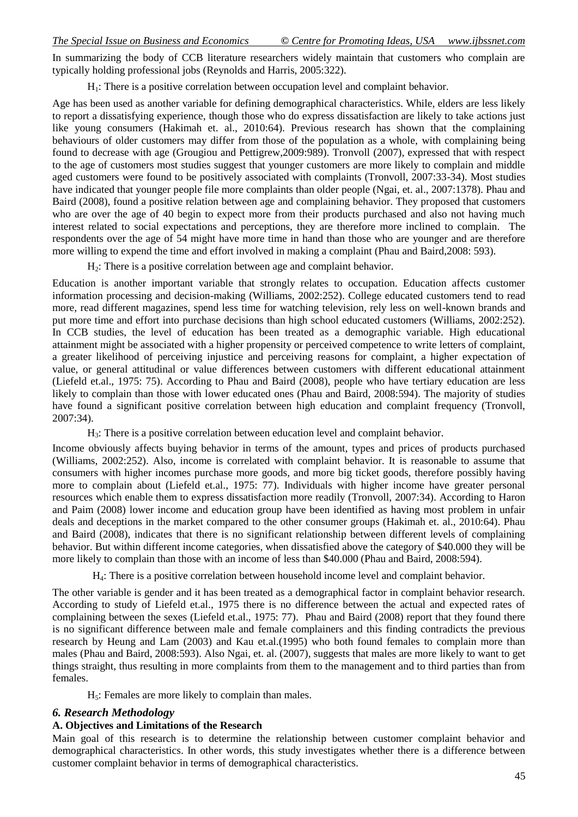In summarizing the body of CCB literature researchers widely maintain that customers who complain are typically holding professional jobs (Reynolds and Harris, 2005:322).

H1: There is a positive correlation between occupation level and complaint behavior.

Age has been used as another variable for defining demographical characteristics. While, elders are less likely to report a dissatisfying experience, though those who do express dissatisfaction are likely to take actions just like young consumers (Hakimah et. al., 2010:64). Previous research has shown that the complaining behaviours of older customers may differ from those of the population as a whole, with complaining being found to decrease with age (Grougiou and Pettigrew,2009:989). Tronvoll (2007), expressed that with respect to the age of customers most studies suggest that younger customers are more likely to complain and middle aged customers were found to be positively associated with complaints (Tronvoll, 2007:33-34). Most studies have indicated that younger people file more complaints than older people (Ngai, et. al., 2007:1378). Phau and Baird (2008), found a positive relation between age and complaining behavior. They proposed that customers who are over the age of 40 begin to expect more from their products purchased and also not having much interest related to social expectations and perceptions, they are therefore more inclined to complain. The respondents over the age of 54 might have more time in hand than those who are younger and are therefore more willing to expend the time and effort involved in making a complaint (Phau and Baird,2008: 593).

 $H<sub>2</sub>$ : There is a positive correlation between age and complaint behavior.

Education is another important variable that strongly relates to occupation. Education affects customer information processing and decision-making (Williams, 2002:252). College educated customers tend to read more, read different magazines, spend less time for watching television, rely less on well-known brands and put more time and effort into purchase decisions than high school educated customers (Williams, 2002:252). In CCB studies, the level of education has been treated as a demographic variable. High educational attainment might be associated with a higher propensity or perceived competence to write letters of complaint, a greater likelihood of perceiving injustice and perceiving reasons for complaint, a higher expectation of value, or general attitudinal or value differences between customers with different educational attainment (Liefeld et.al., 1975: 75). According to Phau and Baird (2008), people who have tertiary education are less likely to complain than those with lower educated ones (Phau and Baird, 2008:594). The majority of studies have found a significant positive correlation between high education and complaint frequency (Tronvoll, 2007:34).

 $H_3$ : There is a positive correlation between education level and complaint behavior.

Income obviously affects buying behavior in terms of the amount, types and prices of products purchased (Williams, 2002:252). Also, income is correlated with complaint behavior. It is reasonable to assume that consumers with higher incomes purchase more goods, and more big ticket goods, therefore possibly having more to complain about (Liefeld et.al., 1975: 77). Individuals with higher income have greater personal resources which enable them to express dissatisfaction more readily (Tronvoll, 2007:34). According to Haron and Paim (2008) lower income and education group have been identified as having most problem in unfair deals and deceptions in the market compared to the other consumer groups (Hakimah et. al., 2010:64). Phau and Baird (2008), indicates that there is no significant relationship between different levels of complaining behavior. But within different income categories, when dissatisfied above the category of \$40.000 they will be more likely to complain than those with an income of less than \$40.000 (Phau and Baird, 2008:594).

H4: There is a positive correlation between household income level and complaint behavior.

The other variable is gender and it has been treated as a demographical factor in complaint behavior research. According to study of Liefeld et.al., 1975 there is no difference between the actual and expected rates of complaining between the sexes (Liefeld et.al., 1975: 77). Phau and Baird (2008) report that they found there is no significant difference between male and female complainers and this finding contradicts the previous research by Heung and Lam (2003) and Kau et.al.(1995) who both found females to complain more than males (Phau and Baird, 2008:593). Also Ngai, et. al. (2007), suggests that males are more likely to want to get things straight, thus resulting in more complaints from them to the management and to third parties than from females.

 $H<sub>5</sub>$ : Females are more likely to complain than males.

#### *6. Research Methodology*

## **A. Objectives and Limitations of the Research**

Main goal of this research is to determine the relationship between customer complaint behavior and demographical characteristics. In other words, this study investigates whether there is a difference between customer complaint behavior in terms of demographical characteristics.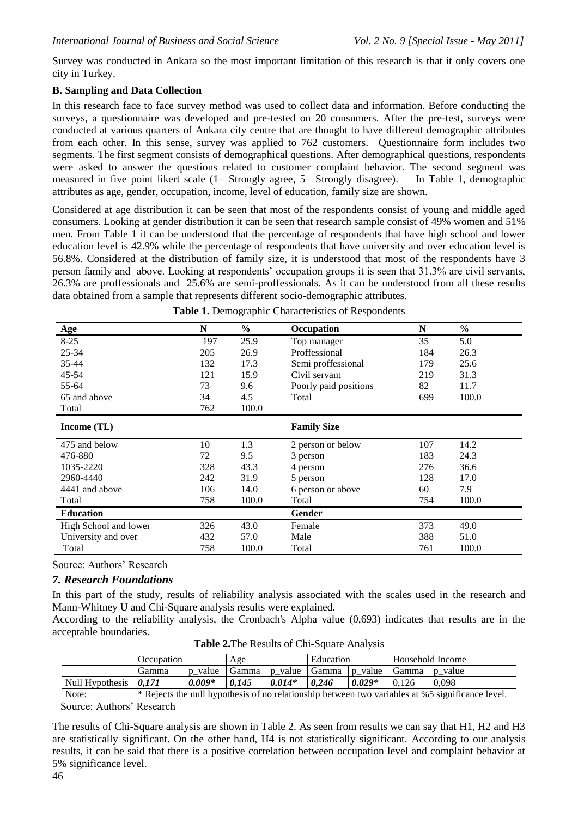Survey was conducted in Ankara so the most important limitation of this research is that it only covers one city in Turkey.

### **B. Sampling and Data Collection**

In this research face to face survey method was used to collect data and information. Before conducting the surveys, a questionnaire was developed and pre-tested on 20 consumers. After the pre-test, surveys were conducted at various quarters of Ankara city centre that are thought to have different demographic attributes from each other. In this sense, survey was applied to 762 customers. Questionnaire form includes two segments. The first segment consists of demographical questions. After demographical questions, respondents were asked to answer the questions related to customer complaint behavior. The second segment was measured in five point likert scale (1= Strongly agree, 5= Strongly disagree). In Table 1, demographic attributes as age, gender, occupation, income, level of education, family size are shown.

Considered at age distribution it can be seen that most of the respondents consist of young and middle aged consumers. Looking at gender distribution it can be seen that research sample consist of 49% women and 51% men. From Table 1 it can be understood that the percentage of respondents that have high school and lower education level is 42.9% while the percentage of respondents that have university and over education level is 56.8%. Considered at the distribution of family size, it is understood that most of the respondents have 3 person family and above. Looking at respondents' occupation groups it is seen that 31.3% are civil servants, 26.3% are proffessionals and 25.6% are semi-proffessionals. As it can be understood from all these results data obtained from a sample that represents different socio-demographic attributes.

| <b>Age</b>            | N   | $\frac{0}{0}$ | Occupation            | N   | $\frac{6}{9}$ |
|-----------------------|-----|---------------|-----------------------|-----|---------------|
| $8 - 25$              | 197 | 25.9          | Top manager           | 35  | 5.0           |
| 25-34                 | 205 | 26.9          | Proffessional         | 184 | 26.3          |
| 35-44                 | 132 | 17.3          | Semi proffessional    | 179 | 25.6          |
| 45-54                 | 121 | 15.9          | Civil servant         | 219 | 31.3          |
| 55-64                 | 73  | 9.6           | Poorly paid positions | 82  | 11.7          |
| 65 and above          | 34  | 4.5           | Total                 | 699 | 100.0         |
| Total                 | 762 | 100.0         |                       |     |               |
| Income (TL)           |     |               | <b>Family Size</b>    |     |               |
| 475 and below         | 10  | 1.3           | 2 person or below     | 107 | 14.2          |
| 476-880               | 72  | 9.5           | 3 person              | 183 | 24.3          |
| 1035-2220             | 328 | 43.3          | 4 person              | 276 | 36.6          |
| 2960-4440             | 242 | 31.9          | 5 person              | 128 | 17.0          |
| 4441 and above        | 106 | 14.0          | 6 person or above     | 60  | 7.9           |
| Total                 | 758 | 100.0         | Total                 | 754 | 100.0         |
| <b>Education</b>      |     |               | Gender                |     |               |
| High School and lower | 326 | 43.0          | Female                | 373 | 49.0          |
| University and over   | 432 | 57.0          | Male                  | 388 | 51.0          |
| Total                 | 758 | 100.0         | Total                 | 761 | 100.0         |

Source: Authors' Research

#### *7. Research Foundations*

In this part of the study, results of reliability analysis associated with the scales used in the research and Mann-Whitney U and Chi-Square analysis results were explained.

According to the reliability analysis, the Cronbach's Alpha value (0,693) indicates that results are in the acceptable boundaries.

|  |  |  | Table 2. The Results of Chi-Square Analysis |
|--|--|--|---------------------------------------------|
|--|--|--|---------------------------------------------|

|                                     | Occupation                                                                                       |          | Age   |                             | Education |          | Household Income |       |
|-------------------------------------|--------------------------------------------------------------------------------------------------|----------|-------|-----------------------------|-----------|----------|------------------|-------|
|                                     | Gamma                                                                                            | p value  | Gamma | $p_value   Gamma   p_value$ |           |          | Gamma p value    |       |
| Null Hypothesis $\vert 0.171 \vert$ |                                                                                                  | $0.009*$ | 0.145 | $0.014*$                    | 0.246     | $0.029*$ | 0.126            | 0.098 |
| Note:                               | * Rejects the null hypothesis of no relationship between two variables at %5 significance level. |          |       |                             |           |          |                  |       |

Source: Authors' Research

The results of Chi-Square analysis are shown in Table 2. As seen from results we can say that H1, H2 and H3 are statistically significant. On the other hand, H4 is not statistically significant. According to our analysis results, it can be said that there is a positive correlation between occupation level and complaint behavior at 5% significance level.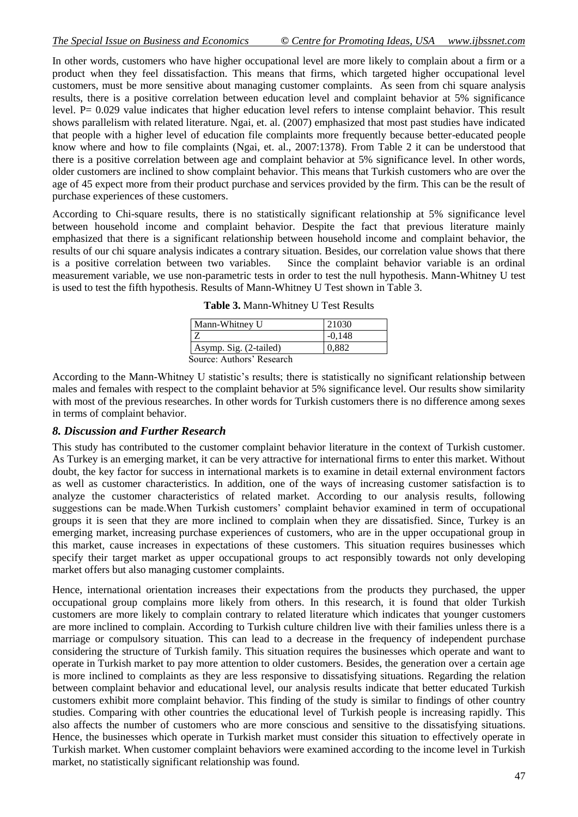In other words, customers who have higher occupational level are more likely to complain about a firm or a product when they feel dissatisfaction. This means that firms, which targeted higher occupational level customers, must be more sensitive about managing customer complaints. As seen from chi square analysis results, there is a positive correlation between education level and complaint behavior at 5% significance level. P= 0.029 value indicates that higher education level refers to intense complaint behavior. This result shows parallelism with related literature. Ngai, et. al. (2007) emphasized that most past studies have indicated that people with a higher level of education file complaints more frequently because better-educated people know where and how to file complaints (Ngai, et. al., 2007:1378). From Table 2 it can be understood that there is a positive correlation between age and complaint behavior at 5% significance level. In other words, older customers are inclined to show complaint behavior. This means that Turkish customers who are over the age of 45 expect more from their product purchase and services provided by the firm. This can be the result of purchase experiences of these customers.

According to Chi-square results, there is no statistically significant relationship at 5% significance level between household income and complaint behavior. Despite the fact that previous literature mainly emphasized that there is a significant relationship between household income and complaint behavior, the results of our chi square analysis indicates a contrary situation. Besides, our correlation value shows that there is a positive correlation between two variables. Since the complaint behavior variable is an ordinal measurement variable, we use non-parametric tests in order to test the null hypothesis. Mann-Whitney U test is used to test the fifth hypothesis. Results of Mann-Whitney U Test shown in Table 3.

**Table 3.** Mann-Whitney U Test Results

| Mann-Whitney U            | 21030    |  |
|---------------------------|----------|--|
|                           | $-0.148$ |  |
| Asymp. Sig. (2-tailed)    | 0.882    |  |
| Source: Authors' Research |          |  |

According to the Mann-Whitney U statistic's results; there is statistically no significant relationship between males and females with respect to the complaint behavior at 5% significance level. Our results show similarity with most of the previous researches. In other words for Turkish customers there is no difference among sexes in terms of complaint behavior.

#### *8. Discussion and Further Research*

This study has contributed to the customer complaint behavior literature in the context of Turkish customer. As Turkey is an emerging market, it can be very attractive for international firms to enter this market. Without doubt, the key factor for success in international markets is to examine in detail external environment factors as well as customer characteristics. In addition, one of the ways of increasing customer satisfaction is to analyze the customer characteristics of related market. According to our analysis results, following suggestions can be made.When Turkish customers' complaint behavior examined in term of occupational groups it is seen that they are more inclined to complain when they are dissatisfied. Since, Turkey is an emerging market, increasing purchase experiences of customers, who are in the upper occupational group in this market, cause increases in expectations of these customers. This situation requires businesses which specify their target market as upper occupational groups to act responsibly towards not only developing market offers but also managing customer complaints.

Hence, international orientation increases their expectations from the products they purchased, the upper occupational group complains more likely from others. In this research, it is found that older Turkish customers are more likely to complain contrary to related literature which indicates that younger customers are more inclined to complain. According to Turkish culture children live with their families unless there is a marriage or compulsory situation. This can lead to a decrease in the frequency of independent purchase considering the structure of Turkish family. This situation requires the businesses which operate and want to operate in Turkish market to pay more attention to older customers. Besides, the generation over a certain age is more inclined to complaints as they are less responsive to dissatisfying situations. Regarding the relation between complaint behavior and educational level, our analysis results indicate that better educated Turkish customers exhibit more complaint behavior. This finding of the study is similar to findings of other country studies. Comparing with other countries the educational level of Turkish people is increasing rapidly. This also affects the number of customers who are more conscious and sensitive to the dissatisfying situations. Hence, the businesses which operate in Turkish market must consider this situation to effectively operate in Turkish market. When customer complaint behaviors were examined according to the income level in Turkish market, no statistically significant relationship was found.